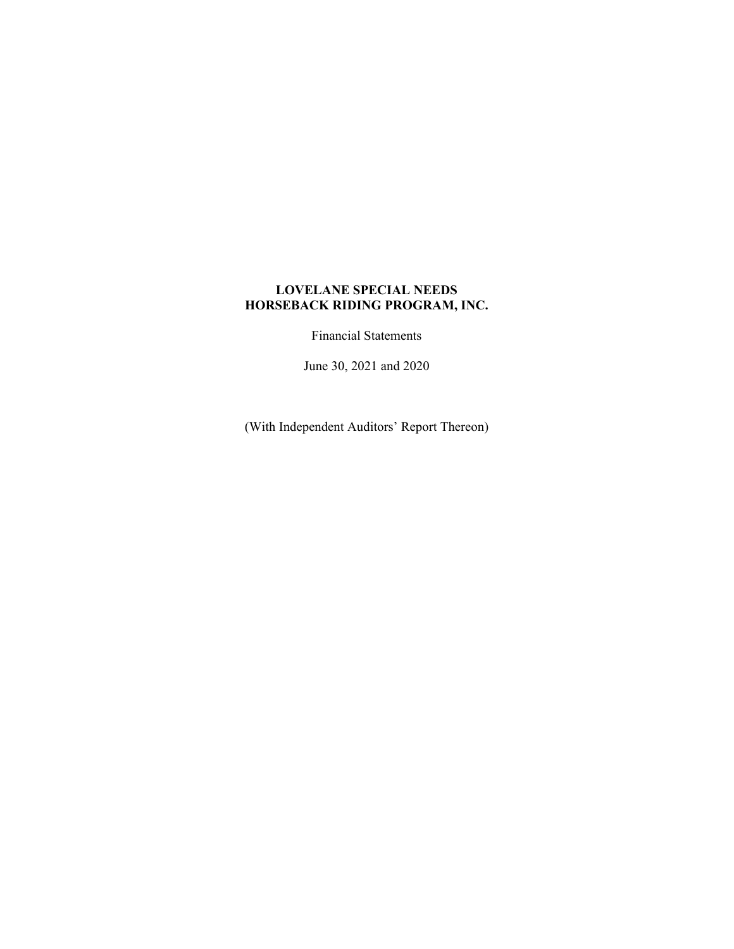Financial Statements

June 30, 2021 and 2020

(With Independent Auditors' Report Thereon)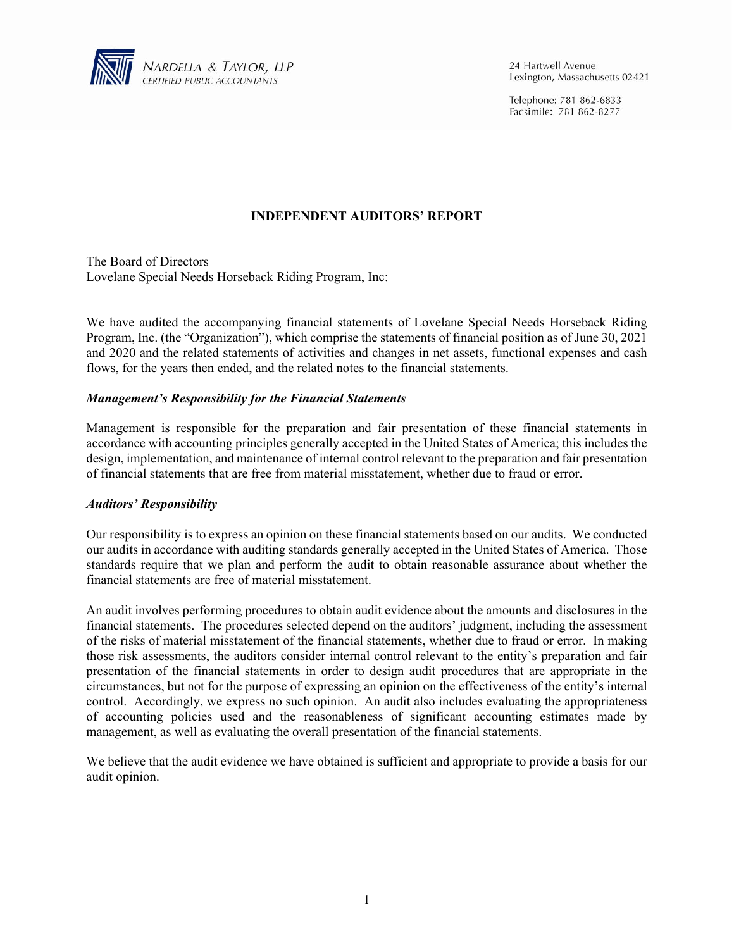

24 Hartwell Avenue Lexington, Massachusetts 02421

Telephone: 781 862-6833 Facsimile: 781 862-8277

## **INDEPENDENT AUDITORS' REPORT**

The Board of Directors Lovelane Special Needs Horseback Riding Program, Inc:

We have audited the accompanying financial statements of Lovelane Special Needs Horseback Riding Program, Inc. (the "Organization"), which comprise the statements of financial position as of June 30, 2021 and 2020 and the related statements of activities and changes in net assets, functional expenses and cash flows, for the years then ended, and the related notes to the financial statements.

### *Management's Responsibility for the Financial Statements*

Management is responsible for the preparation and fair presentation of these financial statements in accordance with accounting principles generally accepted in the United States of America; this includes the design, implementation, and maintenance of internal control relevant to the preparation and fair presentation of financial statements that are free from material misstatement, whether due to fraud or error.

#### *Auditors' Responsibility*

Our responsibility is to express an opinion on these financial statements based on our audits. We conducted our audits in accordance with auditing standards generally accepted in the United States of America. Those standards require that we plan and perform the audit to obtain reasonable assurance about whether the financial statements are free of material misstatement.

An audit involves performing procedures to obtain audit evidence about the amounts and disclosures in the financial statements. The procedures selected depend on the auditors' judgment, including the assessment of the risks of material misstatement of the financial statements, whether due to fraud or error. In making those risk assessments, the auditors consider internal control relevant to the entity's preparation and fair presentation of the financial statements in order to design audit procedures that are appropriate in the circumstances, but not for the purpose of expressing an opinion on the effectiveness of the entity's internal control. Accordingly, we express no such opinion. An audit also includes evaluating the appropriateness of accounting policies used and the reasonableness of significant accounting estimates made by management, as well as evaluating the overall presentation of the financial statements.

We believe that the audit evidence we have obtained is sufficient and appropriate to provide a basis for our audit opinion.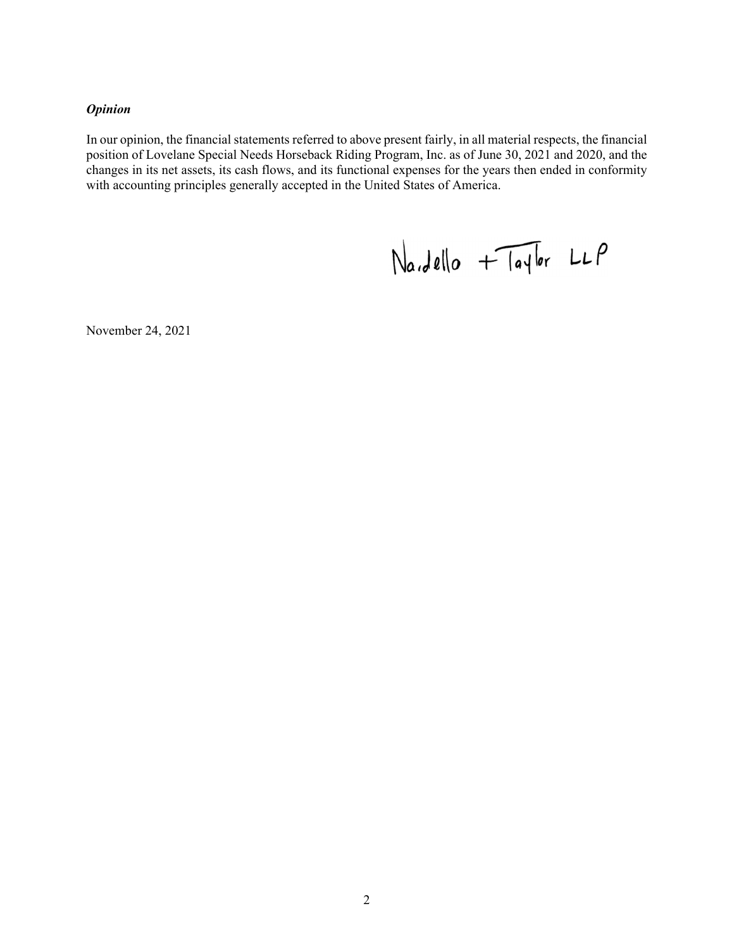# *Opinion*

In our opinion, the financial statements referred to above present fairly, in all material respects, the financial position of Lovelane Special Needs Horseback Riding Program, Inc. as of June 30, 2021 and 2020, and the changes in its net assets, its cash flows, and its functional expenses for the years then ended in conformity with accounting principles generally accepted in the United States of America.

 $Na.dello + TaJlor LLP$ 

November 24, 2021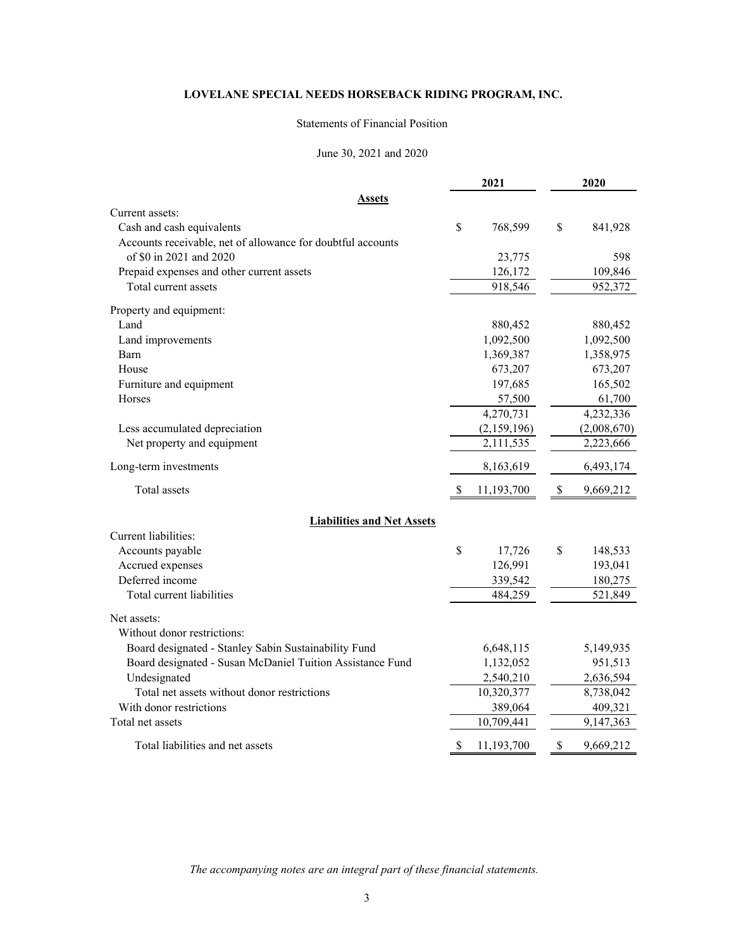#### Statements of Financial Position

#### June 30, 2021 and 2020

|                                                             |    | 2021        | 2020            |
|-------------------------------------------------------------|----|-------------|-----------------|
| Assets                                                      |    |             |                 |
| Current assets:                                             |    |             |                 |
| Cash and cash equivalents                                   | \$ | 768,599     | \$<br>841,928   |
| Accounts receivable, net of allowance for doubtful accounts |    |             |                 |
| of \$0 in 2021 and 2020                                     |    | 23,775      | 598             |
| Prepaid expenses and other current assets                   |    | 126,172     | 109,846         |
| Total current assets                                        |    | 918,546     | 952,372         |
| Property and equipment:                                     |    |             |                 |
| Land                                                        |    | 880,452     | 880,452         |
| Land improvements                                           |    | 1,092,500   | 1,092,500       |
| Barn                                                        |    | 1,369,387   | 1,358,975       |
| House                                                       |    | 673,207     | 673,207         |
| Furniture and equipment                                     |    | 197,685     | 165,502         |
| Horses                                                      |    | 57,500      | 61,700          |
|                                                             |    | 4,270,731   | 4,232,336       |
| Less accumulated depreciation                               |    | (2,159,196) | (2,008,670)     |
| Net property and equipment                                  |    | 2,111,535   | 2,223,666       |
| Long-term investments                                       |    | 8,163,619   | 6,493,174       |
| Total assets                                                | S  | 11,193,700  | \$<br>9,669,212 |
| <b>Liabilities and Net Assets</b>                           |    |             |                 |
| Current liabilities:                                        |    |             |                 |
| Accounts payable                                            | \$ | 17,726      | \$<br>148,533   |
| Accrued expenses                                            |    | 126,991     | 193,041         |
| Deferred income                                             |    | 339,542     | 180,275         |
| Total current liabilities                                   |    | 484,259     | 521,849         |
| Net assets:                                                 |    |             |                 |
| Without donor restrictions:                                 |    |             |                 |
| Board designated - Stanley Sabin Sustainability Fund        |    | 6,648,115   | 5,149,935       |
| Board designated - Susan McDaniel Tuition Assistance Fund   |    | 1,132,052   | 951,513         |
| Undesignated                                                |    | 2,540,210   | 2,636,594       |
| Total net assets without donor restrictions                 |    | 10,320,377  | 8,738,042       |
| With donor restrictions                                     |    | 389,064     | 409,321         |
| Total net assets                                            |    | 10,709,441  | 9,147,363       |
| Total liabilities and net assets                            | \$ | 11,193,700  | \$<br>9,669,212 |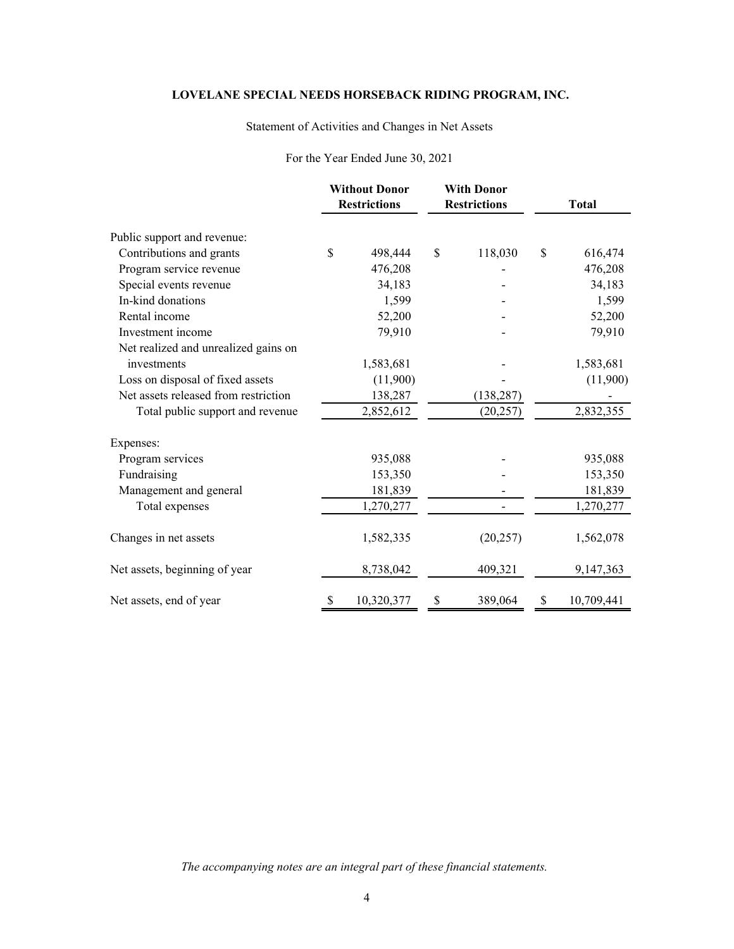# Statement of Activities and Changes in Net Assets

### For the Year Ended June 30, 2021

|                                      |    | <b>Without Donor</b><br><b>Restrictions</b> |    |            |    | <b>With Donor</b><br><b>Restrictions</b> |  |  |  | <b>Total</b> |
|--------------------------------------|----|---------------------------------------------|----|------------|----|------------------------------------------|--|--|--|--------------|
| Public support and revenue:          |    |                                             |    |            |    |                                          |  |  |  |              |
| Contributions and grants             | \$ | 498,444                                     | \$ | 118,030    | \$ | 616,474                                  |  |  |  |              |
| Program service revenue              |    | 476,208                                     |    |            |    | 476,208                                  |  |  |  |              |
| Special events revenue               |    | 34,183                                      |    |            |    | 34,183                                   |  |  |  |              |
| In-kind donations                    |    | 1,599                                       |    |            |    | 1,599                                    |  |  |  |              |
| Rental income                        |    | 52,200                                      |    |            |    | 52,200                                   |  |  |  |              |
| Investment income                    |    | 79,910                                      |    |            |    | 79,910                                   |  |  |  |              |
| Net realized and unrealized gains on |    |                                             |    |            |    |                                          |  |  |  |              |
| investments                          |    | 1,583,681                                   |    |            |    | 1,583,681                                |  |  |  |              |
| Loss on disposal of fixed assets     |    | (11,900)                                    |    |            |    | (11,900)                                 |  |  |  |              |
| Net assets released from restriction |    | 138,287                                     |    | (138, 287) |    |                                          |  |  |  |              |
| Total public support and revenue     |    | 2,852,612                                   |    | (20, 257)  |    | 2,832,355                                |  |  |  |              |
| Expenses:                            |    |                                             |    |            |    |                                          |  |  |  |              |
| Program services                     |    | 935,088                                     |    |            |    | 935,088                                  |  |  |  |              |
| Fundraising                          |    | 153,350                                     |    |            |    | 153,350                                  |  |  |  |              |
| Management and general               |    | 181,839                                     |    |            |    | 181,839                                  |  |  |  |              |
| Total expenses                       |    | 1,270,277                                   |    |            |    | 1,270,277                                |  |  |  |              |
| Changes in net assets                |    | 1,582,335                                   |    | (20, 257)  |    | 1,562,078                                |  |  |  |              |
| Net assets, beginning of year        |    | 8,738,042                                   |    | 409,321    |    | 9,147,363                                |  |  |  |              |
| Net assets, end of year              | \$ | 10,320,377                                  | \$ | 389,064    | \$ | 10,709,441                               |  |  |  |              |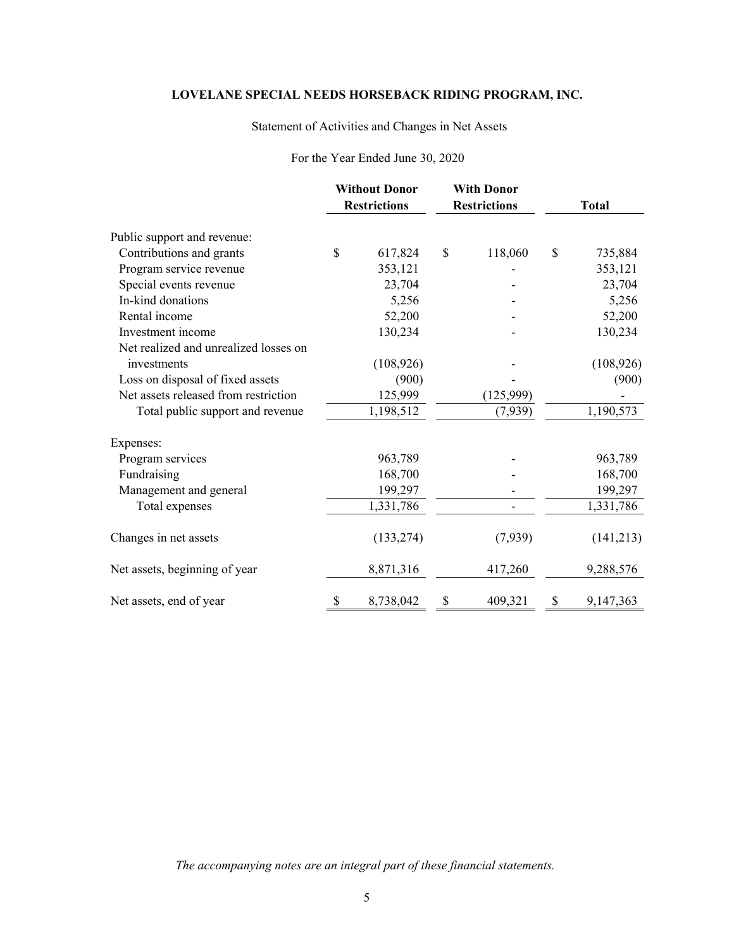## Statement of Activities and Changes in Net Assets

# For the Year Ended June 30, 2020

|                                       | <b>Without Donor</b><br><b>Restrictions</b> |    | <b>With Donor</b><br><b>Restrictions</b> |    | <b>Total</b> |
|---------------------------------------|---------------------------------------------|----|------------------------------------------|----|--------------|
| Public support and revenue:           |                                             |    |                                          |    |              |
| Contributions and grants              | \$<br>617,824                               | \$ | 118,060                                  | \$ | 735,884      |
| Program service revenue               | 353,121                                     |    |                                          |    | 353,121      |
| Special events revenue                | 23,704                                      |    |                                          |    | 23,704       |
| In-kind donations                     | 5,256                                       |    |                                          |    | 5,256        |
| Rental income                         | 52,200                                      |    |                                          |    | 52,200       |
| Investment income                     | 130,234                                     |    |                                          |    | 130,234      |
| Net realized and unrealized losses on |                                             |    |                                          |    |              |
| investments                           | (108, 926)                                  |    |                                          |    | (108, 926)   |
| Loss on disposal of fixed assets      | (900)                                       |    |                                          |    | (900)        |
| Net assets released from restriction  | 125,999                                     |    | (125, 999)                               |    |              |
| Total public support and revenue      | 1,198,512                                   |    | (7,939)                                  |    | 1,190,573    |
| Expenses:                             |                                             |    |                                          |    |              |
| Program services                      | 963,789                                     |    |                                          |    | 963,789      |
| Fundraising                           | 168,700                                     |    |                                          |    | 168,700      |
| Management and general                | 199,297                                     |    |                                          |    | 199,297      |
| Total expenses                        | 1,331,786                                   |    |                                          |    | 1,331,786    |
| Changes in net assets                 | (133, 274)                                  |    | (7,939)                                  |    | (141, 213)   |
| Net assets, beginning of year         | 8,871,316                                   |    | 417,260                                  |    | 9,288,576    |
| Net assets, end of year               | \$<br>8,738,042                             | \$ | 409,321                                  | \$ | 9,147,363    |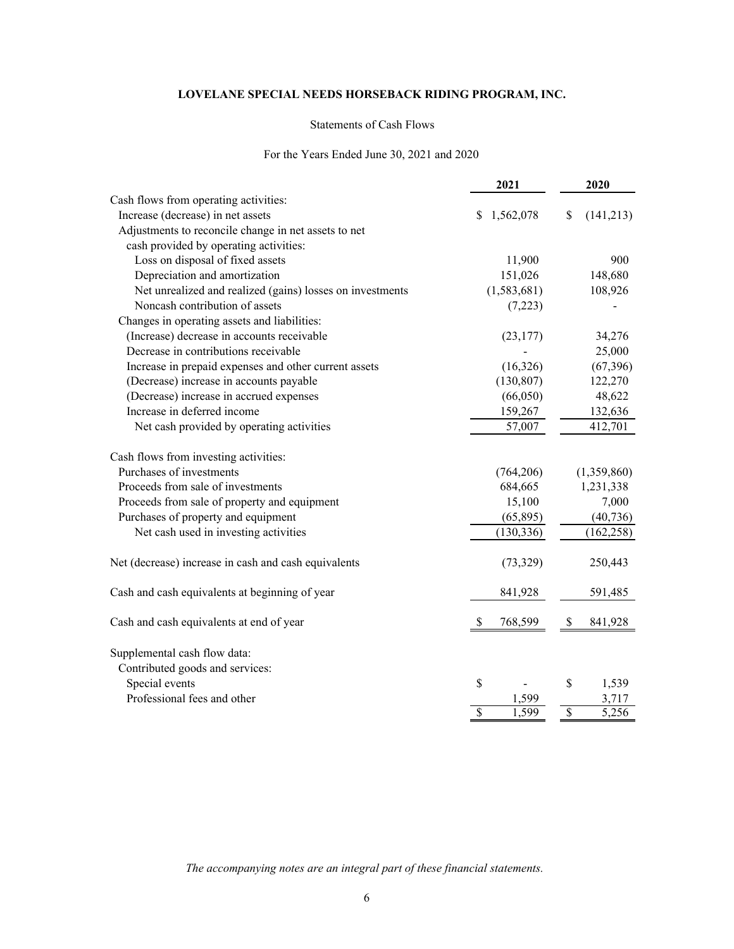#### Statements of Cash Flows

### For the Years Ended June 30, 2021 and 2020

|                                                           | 2021            | 2020            |
|-----------------------------------------------------------|-----------------|-----------------|
| Cash flows from operating activities:                     |                 |                 |
| Increase (decrease) in net assets                         | 1,562,078<br>S. | \$<br>(141,213) |
| Adjustments to reconcile change in net assets to net      |                 |                 |
| cash provided by operating activities:                    |                 |                 |
| Loss on disposal of fixed assets                          | 11,900          | 900             |
| Depreciation and amortization                             | 151,026         | 148,680         |
| Net unrealized and realized (gains) losses on investments | (1,583,681)     | 108,926         |
| Noncash contribution of assets                            | (7,223)         |                 |
| Changes in operating assets and liabilities:              |                 |                 |
| (Increase) decrease in accounts receivable                | (23, 177)       | 34,276          |
| Decrease in contributions receivable                      |                 | 25,000          |
| Increase in prepaid expenses and other current assets     | (16,326)        | (67, 396)       |
| (Decrease) increase in accounts payable                   | (130, 807)      | 122,270         |
| (Decrease) increase in accrued expenses                   | (66,050)        | 48,622          |
| Increase in deferred income                               | 159,267         | 132,636         |
| Net cash provided by operating activities                 | 57,007          | 412,701         |
| Cash flows from investing activities:                     |                 |                 |
| Purchases of investments                                  | (764,206)       | (1,359,860)     |
| Proceeds from sale of investments                         | 684,665         | 1,231,338       |
| Proceeds from sale of property and equipment              | 15,100          | 7,000           |
| Purchases of property and equipment                       | (65,895)        | (40, 736)       |
| Net cash used in investing activities                     | (130, 336)      | (162, 258)      |
| Net (decrease) increase in cash and cash equivalents      | (73, 329)       | 250,443         |
| Cash and cash equivalents at beginning of year            | 841,928         | 591,485         |
| Cash and cash equivalents at end of year                  | \$<br>768,599   | \$<br>841,928   |
| Supplemental cash flow data:                              |                 |                 |
| Contributed goods and services:                           |                 |                 |
| Special events                                            | \$              | \$<br>1,539     |
| Professional fees and other                               | 1,599           | 3,717           |
|                                                           | \$<br>1,599     | \$<br>5,256     |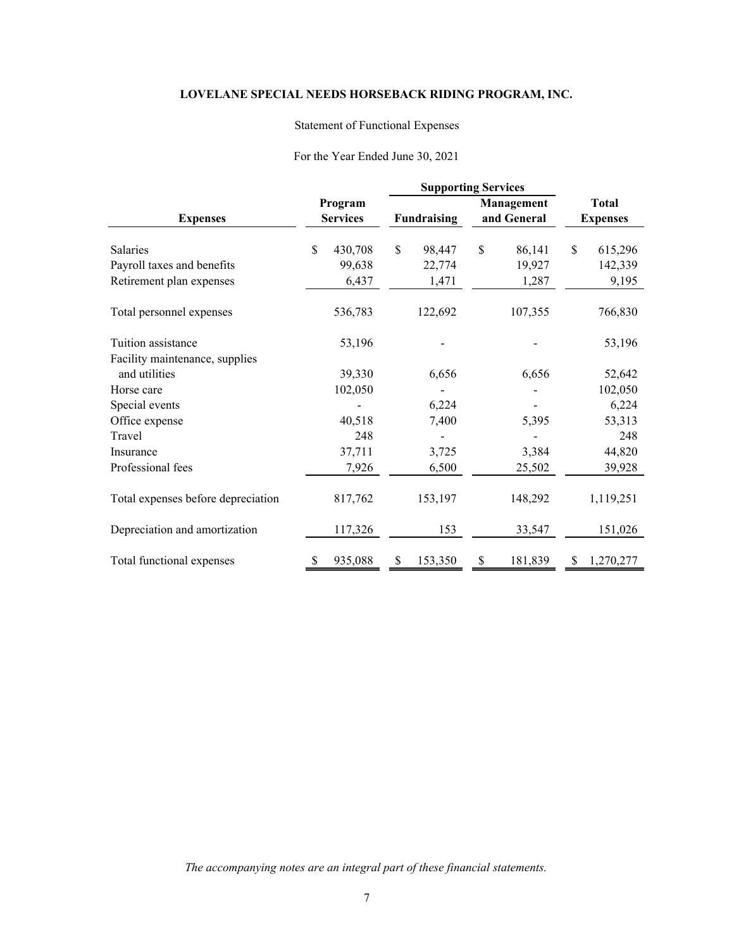## Statement of Functional Expenses

### For the Year Ended June 30, 2021

|                                    |                            | <b>Supporting Services</b> |         |                           |         |                                 |           |
|------------------------------------|----------------------------|----------------------------|---------|---------------------------|---------|---------------------------------|-----------|
| <b>Expenses</b>                    | Program<br><b>Services</b> | Fundraising                |         | Management<br>and General |         | <b>Total</b><br><b>Expenses</b> |           |
| <b>Salaries</b>                    | \$<br>430,708              | $\mathbb{S}$               | 98,447  | \$                        | 86,141  | \$                              | 615,296   |
| Payroll taxes and benefits         | 99,638                     |                            | 22,774  |                           | 19,927  |                                 | 142,339   |
| Retirement plan expenses           | 6,437                      |                            | 1,471   |                           | 1,287   |                                 | 9,195     |
| Total personnel expenses           | 536,783                    |                            | 122,692 |                           | 107,355 |                                 | 766,830   |
| Tuition assistance                 | 53,196                     |                            |         |                           |         |                                 | 53,196    |
| Facility maintenance, supplies     |                            |                            |         |                           |         |                                 |           |
| and utilities                      | 39,330                     |                            | 6,656   |                           | 6,656   |                                 | 52,642    |
| Horse care                         | 102,050                    |                            |         |                           |         |                                 | 102,050   |
| Special events                     |                            |                            | 6,224   |                           |         |                                 | 6,224     |
| Office expense                     | 40,518                     |                            | 7,400   |                           | 5,395   |                                 | 53,313    |
| Travel                             | 248                        |                            |         |                           |         |                                 | 248       |
| Insurance                          | 37,711                     |                            | 3,725   |                           | 3,384   |                                 | 44,820    |
| Professional fees                  | 7,926                      |                            | 6,500   |                           | 25,502  |                                 | 39,928    |
| Total expenses before depreciation | 817,762                    |                            | 153,197 |                           | 148,292 |                                 | 1,119,251 |
| Depreciation and amortization      | 117,326                    |                            | 153     |                           | 33,547  |                                 | 151,026   |
| Total functional expenses          | 935,088                    | \$                         | 153,350 | \$                        | 181,839 | S                               | 1,270,277 |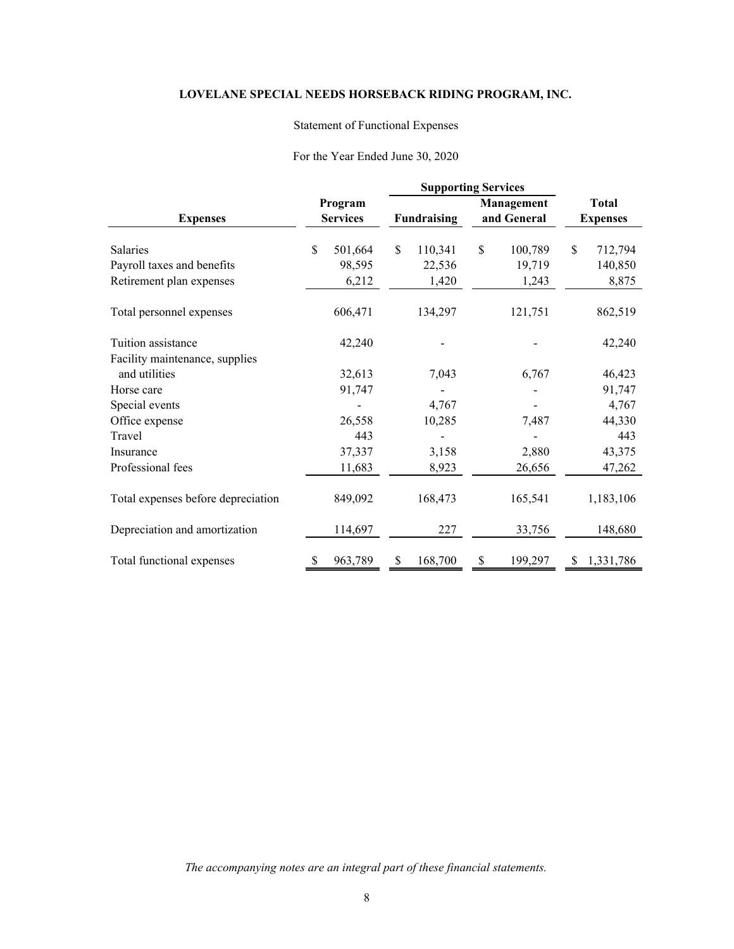## Statement of Functional Expenses

### For the Year Ended June 30, 2020

|                                                        |                    |                            | <b>Supporting Services</b> |                 |                           |                 |                                 |                  |
|--------------------------------------------------------|--------------------|----------------------------|----------------------------|-----------------|---------------------------|-----------------|---------------------------------|------------------|
| <b>Expenses</b>                                        |                    | Program<br><b>Services</b> | <b>Fundraising</b>         |                 | Management<br>and General |                 | <b>Total</b><br><b>Expenses</b> |                  |
| <b>Salaries</b>                                        | $\mathbf{\hat{S}}$ | 501,664                    | \$                         | 110,341         | \$                        | 100,789         | \$                              | 712,794          |
| Payroll taxes and benefits<br>Retirement plan expenses |                    | 98,595<br>6,212            |                            | 22,536<br>1,420 |                           | 19,719<br>1,243 |                                 | 140,850<br>8,875 |
| Total personnel expenses                               |                    | 606,471                    |                            | 134,297         |                           | 121,751         |                                 | 862,519          |
| Tuition assistance                                     |                    | 42,240                     |                            |                 |                           |                 |                                 | 42,240           |
| Facility maintenance, supplies<br>and utilities        |                    | 32,613                     |                            | 7,043           |                           | 6,767           |                                 | 46,423           |
| Horse care                                             |                    | 91,747                     |                            |                 |                           |                 |                                 | 91,747           |
| Special events                                         |                    |                            |                            | 4,767           |                           |                 |                                 | 4,767            |
| Office expense                                         |                    | 26,558                     |                            | 10,285          |                           | 7,487           |                                 | 44,330           |
| Travel                                                 |                    | 443                        |                            |                 |                           |                 |                                 | 443              |
| Insurance                                              |                    | 37,337                     |                            | 3,158           |                           | 2,880           |                                 | 43,375           |
| Professional fees                                      |                    | 11,683                     |                            | 8,923           |                           | 26,656          |                                 | 47,262           |
| Total expenses before depreciation                     |                    | 849,092                    |                            | 168,473         |                           | 165,541         |                                 | 1,183,106        |
| Depreciation and amortization                          |                    | 114,697                    |                            | 227             |                           | 33,756          |                                 | 148,680          |
| Total functional expenses                              |                    | 963,789                    | \$                         | 168,700         | \$                        | 199,297         | S                               | 1,331,786        |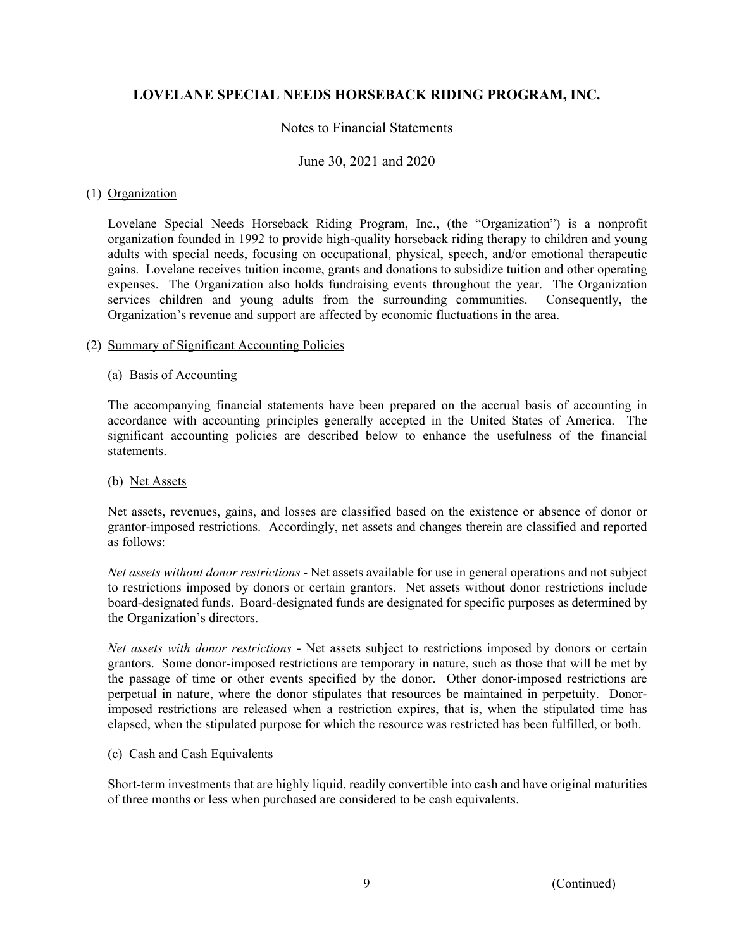## Notes to Financial Statements

### June 30, 2021 and 2020

### (1) Organization

Lovelane Special Needs Horseback Riding Program, Inc., (the "Organization") is a nonprofit organization founded in 1992 to provide high-quality horseback riding therapy to children and young adults with special needs, focusing on occupational, physical, speech, and/or emotional therapeutic gains. Lovelane receives tuition income, grants and donations to subsidize tuition and other operating expenses. The Organization also holds fundraising events throughout the year. The Organization services children and young adults from the surrounding communities. Consequently, the Organization's revenue and support are affected by economic fluctuations in the area.

### (2) Summary of Significant Accounting Policies

## (a) Basis of Accounting

The accompanying financial statements have been prepared on the accrual basis of accounting in accordance with accounting principles generally accepted in the United States of America. The significant accounting policies are described below to enhance the usefulness of the financial statements.

#### (b) Net Assets

Net assets, revenues, gains, and losses are classified based on the existence or absence of donor or grantor-imposed restrictions. Accordingly, net assets and changes therein are classified and reported as follows:

*Net assets without donor restrictions* - Net assets available for use in general operations and not subject to restrictions imposed by donors or certain grantors. Net assets without donor restrictions include board-designated funds. Board-designated funds are designated for specific purposes as determined by the Organization's directors.

*Net assets with donor restrictions* - Net assets subject to restrictions imposed by donors or certain grantors. Some donor-imposed restrictions are temporary in nature, such as those that will be met by the passage of time or other events specified by the donor. Other donor-imposed restrictions are perpetual in nature, where the donor stipulates that resources be maintained in perpetuity. Donorimposed restrictions are released when a restriction expires, that is, when the stipulated time has elapsed, when the stipulated purpose for which the resource was restricted has been fulfilled, or both.

### (c) Cash and Cash Equivalents

Short-term investments that are highly liquid, readily convertible into cash and have original maturities of three months or less when purchased are considered to be cash equivalents.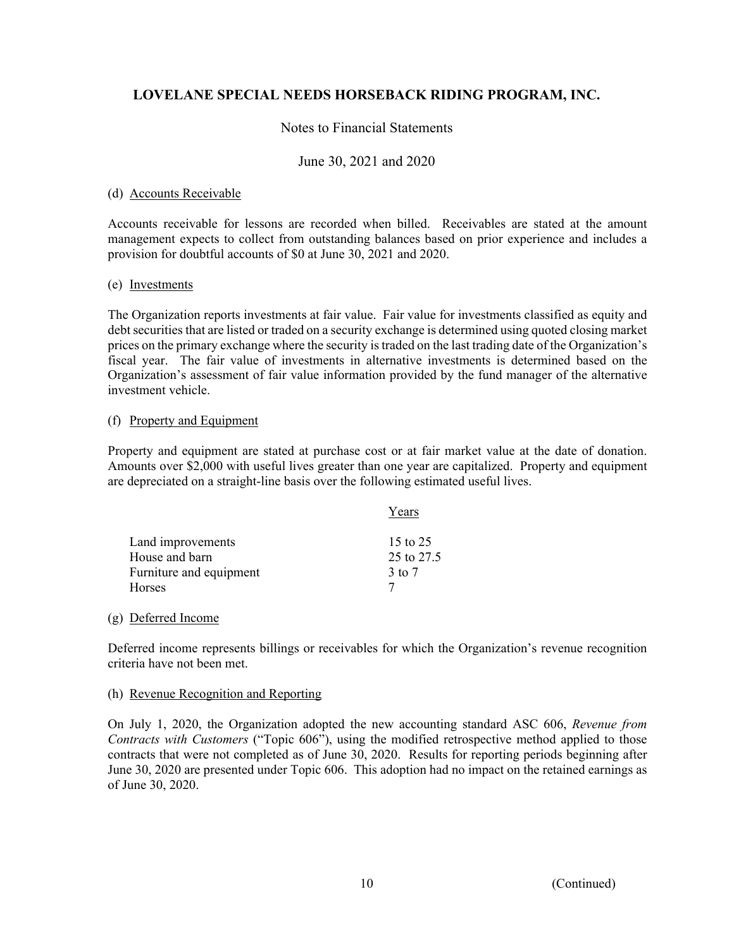## Notes to Financial Statements

### June 30, 2021 and 2020

### (d) Accounts Receivable

Accounts receivable for lessons are recorded when billed. Receivables are stated at the amount management expects to collect from outstanding balances based on prior experience and includes a provision for doubtful accounts of \$0 at June 30, 2021 and 2020.

### (e) Investments

The Organization reports investments at fair value. Fair value for investments classified as equity and debt securities that are listed or traded on a security exchange is determined using quoted closing market prices on the primary exchange where the security is traded on the last trading date of the Organization's fiscal year. The fair value of investments in alternative investments is determined based on the Organization's assessment of fair value information provided by the fund manager of the alternative investment vehicle.

### (f) Property and Equipment

Property and equipment are stated at purchase cost or at fair market value at the date of donation. Amounts over \$2,000 with useful lives greater than one year are capitalized. Property and equipment are depreciated on a straight-line basis over the following estimated useful lives.

|                         | Years      |
|-------------------------|------------|
| Land improvements       | 15 to 25   |
| House and barn          | 25 to 27.5 |
| Furniture and equipment | 3 to 7     |
| <b>Horses</b>           |            |

### (g) Deferred Income

Deferred income represents billings or receivables for which the Organization's revenue recognition criteria have not been met.

#### (h) Revenue Recognition and Reporting

On July 1, 2020, the Organization adopted the new accounting standard ASC 606, *Revenue from Contracts with Customers* ("Topic 606"), using the modified retrospective method applied to those contracts that were not completed as of June 30, 2020. Results for reporting periods beginning after June 30, 2020 are presented under Topic 606. This adoption had no impact on the retained earnings as of June 30, 2020.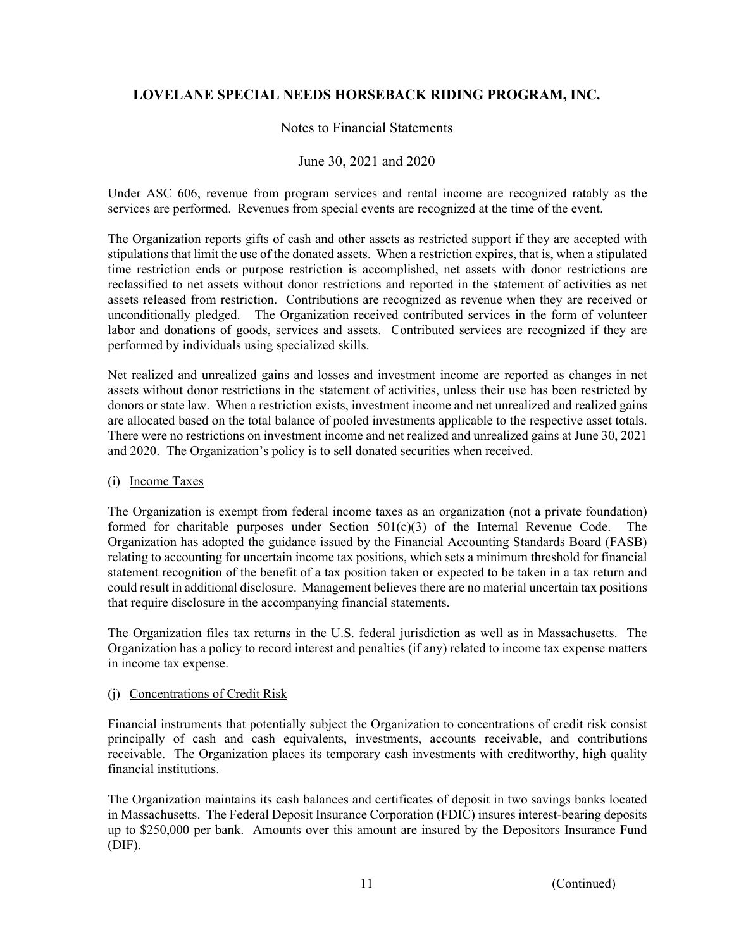## Notes to Financial Statements

## June 30, 2021 and 2020

Under ASC 606, revenue from program services and rental income are recognized ratably as the services are performed. Revenues from special events are recognized at the time of the event.

The Organization reports gifts of cash and other assets as restricted support if they are accepted with stipulations that limit the use of the donated assets. When a restriction expires, that is, when a stipulated time restriction ends or purpose restriction is accomplished, net assets with donor restrictions are reclassified to net assets without donor restrictions and reported in the statement of activities as net assets released from restriction. Contributions are recognized as revenue when they are received or unconditionally pledged. The Organization received contributed services in the form of volunteer labor and donations of goods, services and assets. Contributed services are recognized if they are performed by individuals using specialized skills.

Net realized and unrealized gains and losses and investment income are reported as changes in net assets without donor restrictions in the statement of activities, unless their use has been restricted by donors or state law. When a restriction exists, investment income and net unrealized and realized gains are allocated based on the total balance of pooled investments applicable to the respective asset totals. There were no restrictions on investment income and net realized and unrealized gains at June 30, 2021 and 2020. The Organization's policy is to sell donated securities when received.

### (i) Income Taxes

The Organization is exempt from federal income taxes as an organization (not a private foundation) formed for charitable purposes under Section  $501(c)(3)$  of the Internal Revenue Code. The Organization has adopted the guidance issued by the Financial Accounting Standards Board (FASB) relating to accounting for uncertain income tax positions, which sets a minimum threshold for financial statement recognition of the benefit of a tax position taken or expected to be taken in a tax return and could result in additional disclosure. Management believes there are no material uncertain tax positions that require disclosure in the accompanying financial statements.

The Organization files tax returns in the U.S. federal jurisdiction as well as in Massachusetts. The Organization has a policy to record interest and penalties (if any) related to income tax expense matters in income tax expense.

### (j) Concentrations of Credit Risk

Financial instruments that potentially subject the Organization to concentrations of credit risk consist principally of cash and cash equivalents, investments, accounts receivable, and contributions receivable. The Organization places its temporary cash investments with creditworthy, high quality financial institutions.

The Organization maintains its cash balances and certificates of deposit in two savings banks located in Massachusetts. The Federal Deposit Insurance Corporation (FDIC) insures interest-bearing deposits up to \$250,000 per bank. Amounts over this amount are insured by the Depositors Insurance Fund (DIF).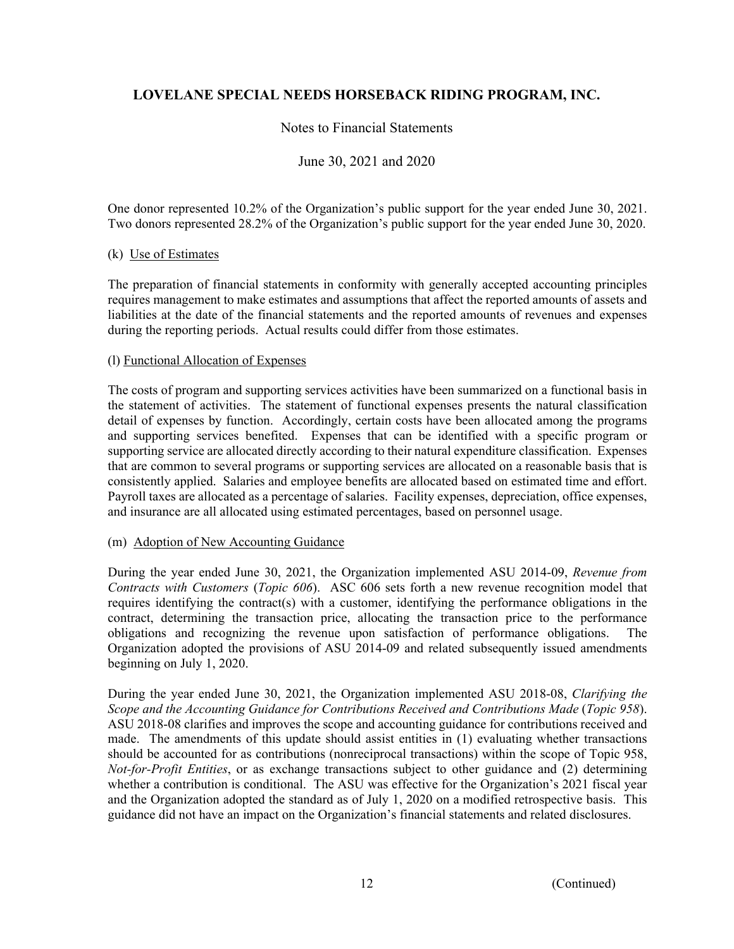# Notes to Financial Statements

## June 30, 2021 and 2020

 One donor represented 10.2% of the Organization's public support for the year ended June 30, 2021. Two donors represented 28.2% of the Organization's public support for the year ended June 30, 2020.

### (k) Use of Estimates

The preparation of financial statements in conformity with generally accepted accounting principles requires management to make estimates and assumptions that affect the reported amounts of assets and liabilities at the date of the financial statements and the reported amounts of revenues and expenses during the reporting periods. Actual results could differ from those estimates.

### (l) Functional Allocation of Expenses

The costs of program and supporting services activities have been summarized on a functional basis in the statement of activities. The statement of functional expenses presents the natural classification detail of expenses by function. Accordingly, certain costs have been allocated among the programs and supporting services benefited. Expenses that can be identified with a specific program or supporting service are allocated directly according to their natural expenditure classification. Expenses that are common to several programs or supporting services are allocated on a reasonable basis that is consistently applied. Salaries and employee benefits are allocated based on estimated time and effort. Payroll taxes are allocated as a percentage of salaries. Facility expenses, depreciation, office expenses, and insurance are all allocated using estimated percentages, based on personnel usage.

#### (m) Adoption of New Accounting Guidance

During the year ended June 30, 2021, the Organization implemented ASU 2014-09, *Revenue from Contracts with Customers* (*Topic 606*). ASC 606 sets forth a new revenue recognition model that requires identifying the contract(s) with a customer, identifying the performance obligations in the contract, determining the transaction price, allocating the transaction price to the performance obligations and recognizing the revenue upon satisfaction of performance obligations. The Organization adopted the provisions of ASU 2014-09 and related subsequently issued amendments beginning on July 1, 2020.

During the year ended June 30, 2021, the Organization implemented ASU 2018-08, *Clarifying the Scope and the Accounting Guidance for Contributions Received and Contributions Made* (*Topic 958*). ASU 2018-08 clarifies and improves the scope and accounting guidance for contributions received and made. The amendments of this update should assist entities in (1) evaluating whether transactions should be accounted for as contributions (nonreciprocal transactions) within the scope of Topic 958, *Not-for-Profit Entities*, or as exchange transactions subject to other guidance and (2) determining whether a contribution is conditional. The ASU was effective for the Organization's 2021 fiscal year and the Organization adopted the standard as of July 1, 2020 on a modified retrospective basis. This guidance did not have an impact on the Organization's financial statements and related disclosures.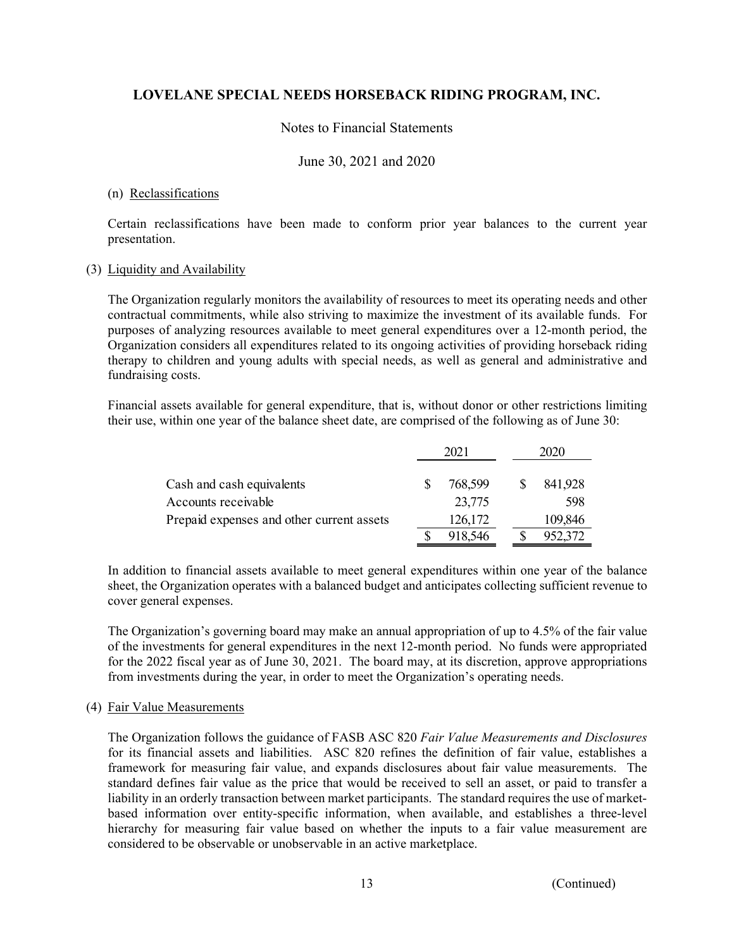## Notes to Financial Statements

### June 30, 2021 and 2020

### (n) Reclassifications

Certain reclassifications have been made to conform prior year balances to the current year presentation.

### (3) Liquidity and Availability

The Organization regularly monitors the availability of resources to meet its operating needs and other contractual commitments, while also striving to maximize the investment of its available funds. For purposes of analyzing resources available to meet general expenditures over a 12-month period, the Organization considers all expenditures related to its ongoing activities of providing horseback riding therapy to children and young adults with special needs, as well as general and administrative and fundraising costs.

Financial assets available for general expenditure, that is, without donor or other restrictions limiting their use, within one year of the balance sheet date, are comprised of the following as of June 30:

|                                           | 2021 |         |  |  | 2020    |
|-------------------------------------------|------|---------|--|--|---------|
|                                           |      |         |  |  |         |
| Cash and cash equivalents                 |      | 768,599 |  |  | 841,928 |
| Accounts receivable                       |      | 23,775  |  |  | 598     |
| Prepaid expenses and other current assets |      | 126,172 |  |  | 109,846 |
|                                           |      | 918,546 |  |  | 952,372 |

In addition to financial assets available to meet general expenditures within one year of the balance sheet, the Organization operates with a balanced budget and anticipates collecting sufficient revenue to cover general expenses.

The Organization's governing board may make an annual appropriation of up to 4.5% of the fair value of the investments for general expenditures in the next 12-month period. No funds were appropriated for the 2022 fiscal year as of June 30, 2021. The board may, at its discretion, approve appropriations from investments during the year, in order to meet the Organization's operating needs.

### (4) Fair Value Measurements

 The Organization follows the guidance of FASB ASC 820 *Fair Value Measurements and Disclosures* for its financial assets and liabilities. ASC 820 refines the definition of fair value, establishes a framework for measuring fair value, and expands disclosures about fair value measurements. The standard defines fair value as the price that would be received to sell an asset, or paid to transfer a liability in an orderly transaction between market participants. The standard requires the use of marketbased information over entity-specific information, when available, and establishes a three-level hierarchy for measuring fair value based on whether the inputs to a fair value measurement are considered to be observable or unobservable in an active marketplace.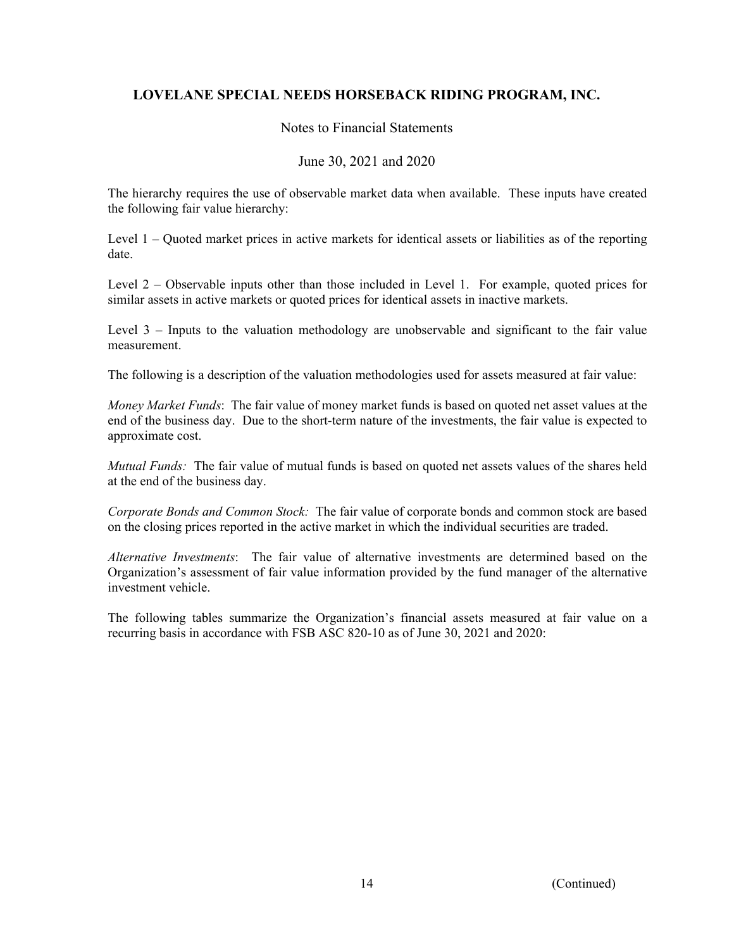## Notes to Financial Statements

## June 30, 2021 and 2020

 The hierarchy requires the use of observable market data when available. These inputs have created the following fair value hierarchy:

Level 1 – Quoted market prices in active markets for identical assets or liabilities as of the reporting date.

Level 2 *–* Observable inputs other than those included in Level 1. For example, quoted prices for similar assets in active markets or quoted prices for identical assets in inactive markets.

Level 3 *–* Inputs to the valuation methodology are unobservable and significant to the fair value measurement.

The following is a description of the valuation methodologies used for assets measured at fair value:

*Money Market Funds*: The fair value of money market funds is based on quoted net asset values at the end of the business day. Due to the short-term nature of the investments, the fair value is expected to approximate cost.

*Mutual Funds:* The fair value of mutual funds is based on quoted net assets values of the shares held at the end of the business day.

*Corporate Bonds and Common Stock:* The fair value of corporate bonds and common stock are based on the closing prices reported in the active market in which the individual securities are traded.

*Alternative Investments*: The fair value of alternative investments are determined based on the Organization's assessment of fair value information provided by the fund manager of the alternative investment vehicle.

The following tables summarize the Organization's financial assets measured at fair value on a recurring basis in accordance with FSB ASC 820-10 as of June 30, 2021 and 2020: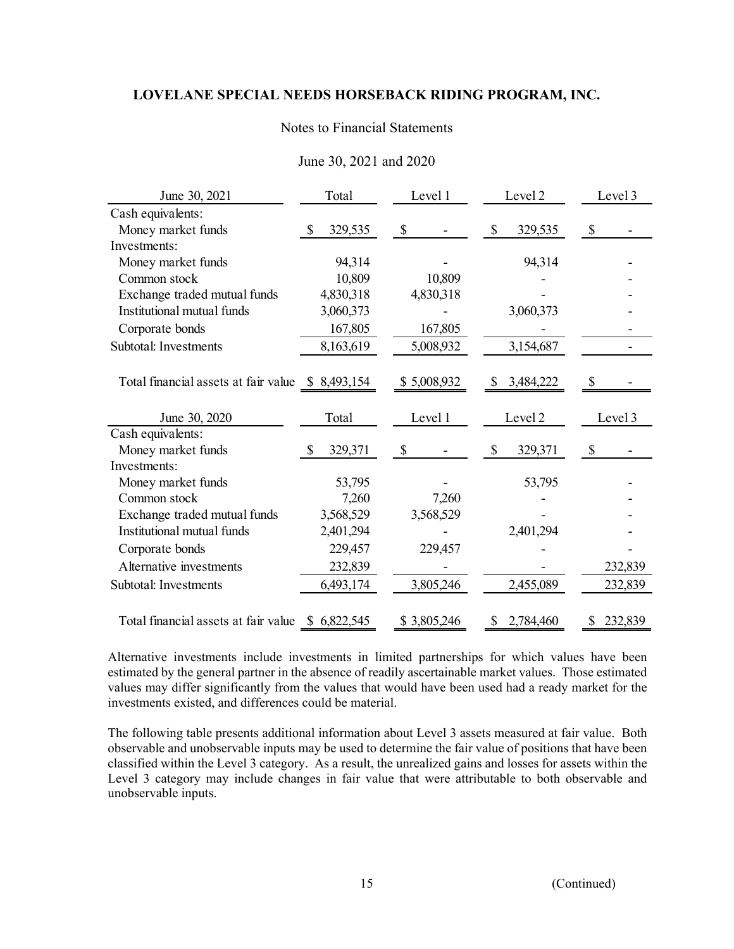# Notes to Financial Statements

| June 30, 2021                                     | Total         | Level 1     | Level 2         | Level 3       |
|---------------------------------------------------|---------------|-------------|-----------------|---------------|
| Cash equivalents:                                 |               |             |                 |               |
| Money market funds                                | 329,535<br>S  | $\$$        | 329,535<br>S    | \$            |
| Investments:                                      |               |             |                 |               |
| Money market funds                                | 94,314        |             | 94,314          |               |
| Common stock                                      | 10,809        | 10,809      |                 |               |
| Exchange traded mutual funds                      | 4,830,318     | 4,830,318   |                 |               |
| Institutional mutual funds                        | 3,060,373     |             | 3,060,373       |               |
| Corporate bonds                                   | 167,805       | 167,805     |                 |               |
| Subtotal: Investments                             | 8,163,619     | 5,008,932   | 3,154,687       |               |
| Total financial assets at fair value \$ 8,493,154 |               | \$5,008,932 | 3,484,222       | S             |
| June 30, 2020                                     | Total         | Level 1     | Level 2         | Level 3       |
| Cash equivalents:                                 |               |             |                 |               |
| Money market funds                                | \$<br>329,371 | \$          | \$<br>329,371   | \$            |
| Investments:                                      |               |             |                 |               |
| Money market funds                                | 53,795        |             | 53,795          |               |
| Common stock                                      | 7,260         | 7,260       |                 |               |
| Exchange traded mutual funds                      | 3,568,529     | 3,568,529   |                 |               |
| Institutional mutual funds                        | 2,401,294     |             | 2,401,294       |               |
| Corporate bonds                                   | 229,457       | 229,457     |                 |               |
| Alternative investments                           | 232,839       |             |                 | 232,839       |
| Subtotal: Investments                             | 6,493,174     | 3,805,246   | 2,455,089       | 232,839       |
| Total financial assets at fair value              | \$6,822,545   | \$3,805,246 | 2,784,460<br>\$ | 232,839<br>\$ |

# June 30, 2021 and 2020

Alternative investments include investments in limited partnerships for which values have been estimated by the general partner in the absence of readily ascertainable market values. Those estimated values may differ significantly from the values that would have been used had a ready market for the investments existed, and differences could be material.

The following table presents additional information about Level 3 assets measured at fair value. Both observable and unobservable inputs may be used to determine the fair value of positions that have been classified within the Level 3 category. As a result, the unrealized gains and losses for assets within the Level 3 category may include changes in fair value that were attributable to both observable and unobservable inputs.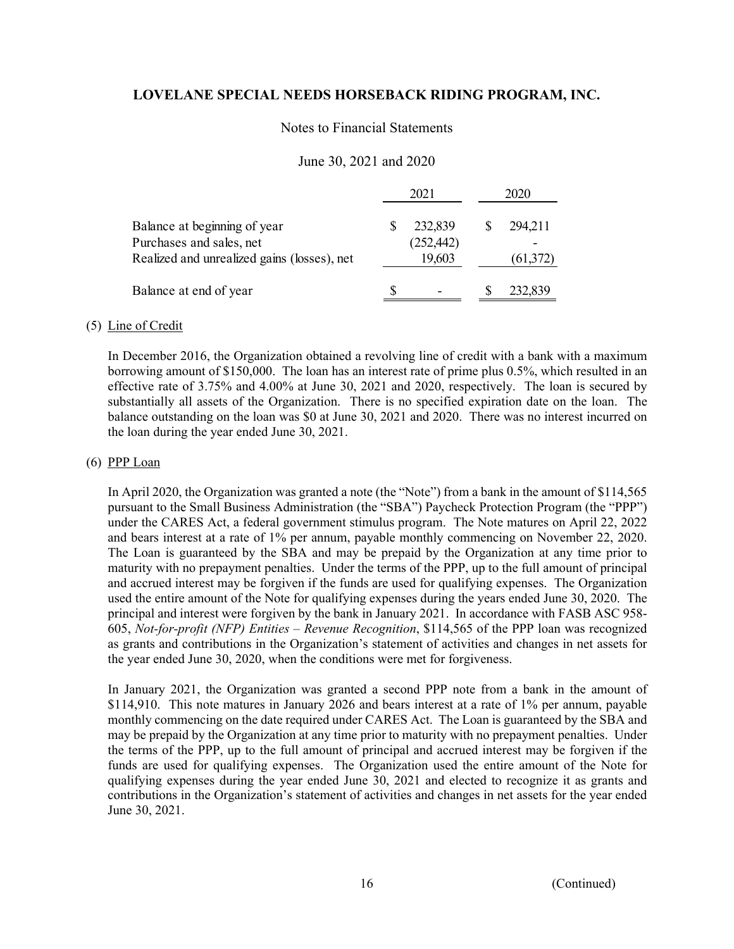### Notes to Financial Statements

## June 30, 2021 and 2020

|                                                                                                         | 2021 |                                 |   | 2020                 |  |
|---------------------------------------------------------------------------------------------------------|------|---------------------------------|---|----------------------|--|
| Balance at beginning of year<br>Purchases and sales, net<br>Realized and unrealized gains (losses), net |      | 232,839<br>(252, 442)<br>19,603 |   | 294,211<br>(61, 372) |  |
| Balance at end of year                                                                                  |      |                                 | Ж | 232,839              |  |

### (5) Line of Credit

In December 2016, the Organization obtained a revolving line of credit with a bank with a maximum borrowing amount of \$150,000. The loan has an interest rate of prime plus 0.5%, which resulted in an effective rate of 3.75% and 4.00% at June 30, 2021 and 2020, respectively. The loan is secured by substantially all assets of the Organization. There is no specified expiration date on the loan. The balance outstanding on the loan was \$0 at June 30, 2021 and 2020. There was no interest incurred on the loan during the year ended June 30, 2021.

### (6) PPP Loan

In April 2020, the Organization was granted a note (the "Note") from a bank in the amount of \$114,565 pursuant to the Small Business Administration (the "SBA") Paycheck Protection Program (the "PPP") under the CARES Act, a federal government stimulus program. The Note matures on April 22, 2022 and bears interest at a rate of 1% per annum, payable monthly commencing on November 22, 2020. The Loan is guaranteed by the SBA and may be prepaid by the Organization at any time prior to maturity with no prepayment penalties. Under the terms of the PPP, up to the full amount of principal and accrued interest may be forgiven if the funds are used for qualifying expenses. The Organization used the entire amount of the Note for qualifying expenses during the years ended June 30, 2020. The principal and interest were forgiven by the bank in January 2021. In accordance with FASB ASC 958- 605, *Not-for-profit (NFP) Entities – Revenue Recognition*, \$114,565 of the PPP loan was recognized as grants and contributions in the Organization's statement of activities and changes in net assets for the year ended June 30, 2020, when the conditions were met for forgiveness.

In January 2021, the Organization was granted a second PPP note from a bank in the amount of \$114,910. This note matures in January 2026 and bears interest at a rate of 1% per annum, payable monthly commencing on the date required under CARES Act. The Loan is guaranteed by the SBA and may be prepaid by the Organization at any time prior to maturity with no prepayment penalties. Under the terms of the PPP, up to the full amount of principal and accrued interest may be forgiven if the funds are used for qualifying expenses. The Organization used the entire amount of the Note for qualifying expenses during the year ended June 30, 2021 and elected to recognize it as grants and contributions in the Organization's statement of activities and changes in net assets for the year ended June 30, 2021.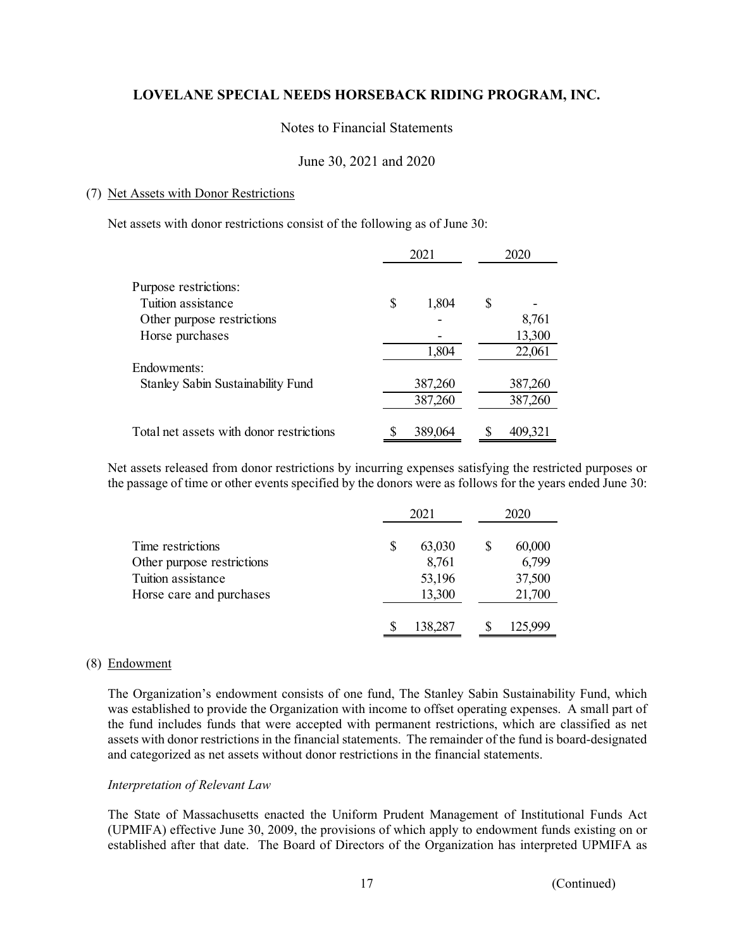## Notes to Financial Statements

## June 30, 2021 and 2020

### (7) Net Assets with Donor Restrictions

Net assets with donor restrictions consist of the following as of June 30:

|                                          | 2021        | 2020    |
|------------------------------------------|-------------|---------|
| Purpose restrictions:                    |             |         |
| Tuition assistance                       | \$<br>1,804 | \$      |
| Other purpose restrictions               |             | 8,761   |
| Horse purchases                          |             | 13,300  |
|                                          | 1,804       | 22,061  |
| Endowments:                              |             |         |
| Stanley Sabin Sustainability Fund        | 387,260     | 387,260 |
|                                          | 387,260     | 387,260 |
| Total net assets with donor restrictions | 389,064     | 409,321 |

Net assets released from donor restrictions by incurring expenses satisfying the restricted purposes or the passage of time or other events specified by the donors were as follows for the years ended June 30:

|                            | 2021         |   | 2020    |
|----------------------------|--------------|---|---------|
| Time restrictions          | \$<br>63,030 | S | 60,000  |
| Other purpose restrictions | 8,761        |   | 6,799   |
| Tuition assistance         | 53,196       |   | 37,500  |
| Horse care and purchases   | 13,300       |   | 21,700  |
|                            | 138,287      |   | 125,999 |

#### (8) Endowment

 The Organization's endowment consists of one fund, The Stanley Sabin Sustainability Fund, which was established to provide the Organization with income to offset operating expenses. A small part of the fund includes funds that were accepted with permanent restrictions, which are classified as net assets with donor restrictions in the financial statements. The remainder of the fund is board-designated and categorized as net assets without donor restrictions in the financial statements.

### *Interpretation of Relevant Law*

The State of Massachusetts enacted the Uniform Prudent Management of Institutional Funds Act (UPMIFA) effective June 30, 2009, the provisions of which apply to endowment funds existing on or established after that date. The Board of Directors of the Organization has interpreted UPMIFA as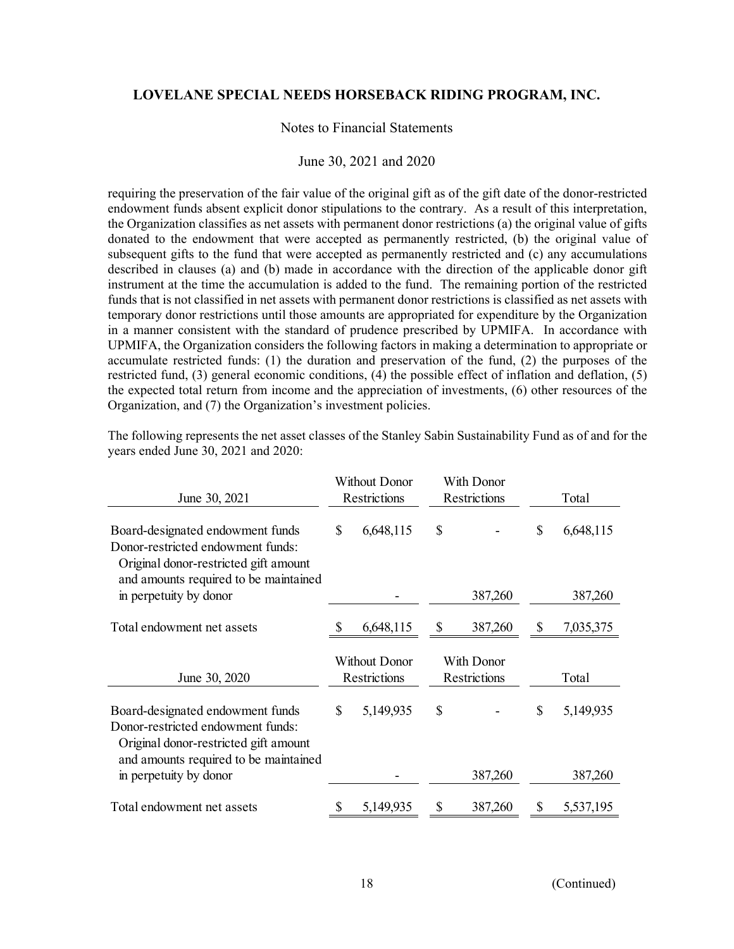### Notes to Financial Statements

#### June 30, 2021 and 2020

requiring the preservation of the fair value of the original gift as of the gift date of the donor-restricted endowment funds absent explicit donor stipulations to the contrary. As a result of this interpretation, the Organization classifies as net assets with permanent donor restrictions (a) the original value of gifts donated to the endowment that were accepted as permanently restricted, (b) the original value of subsequent gifts to the fund that were accepted as permanently restricted and (c) any accumulations described in clauses (a) and (b) made in accordance with the direction of the applicable donor gift instrument at the time the accumulation is added to the fund. The remaining portion of the restricted funds that is not classified in net assets with permanent donor restrictions is classified as net assets with temporary donor restrictions until those amounts are appropriated for expenditure by the Organization in a manner consistent with the standard of prudence prescribed by UPMIFA. In accordance with UPMIFA, the Organization considers the following factors in making a determination to appropriate or accumulate restricted funds: (1) the duration and preservation of the fund, (2) the purposes of the restricted fund, (3) general economic conditions, (4) the possible effect of inflation and deflation, (5) the expected total return from income and the appreciation of investments, (6) other resources of the Organization, and (7) the Organization's investment policies.

| June 30, 2021                                                                                                                                           | Without Donor<br>Restrictions |           | With Donor<br>Restrictions        |         | Total |           |
|---------------------------------------------------------------------------------------------------------------------------------------------------------|-------------------------------|-----------|-----------------------------------|---------|-------|-----------|
| Board-designated endowment funds<br>Donor-restricted endowment funds:<br>Original donor-restricted gift amount<br>and amounts required to be maintained | $\mathbb{S}$                  | 6,648,115 | \$                                |         | \$    | 6,648,115 |
| in perpetuity by donor                                                                                                                                  |                               |           |                                   | 387,260 |       | 387,260   |
| Total endowment net assets                                                                                                                              |                               | 6,648,115 | \$                                | 387,260 | \$    | 7,035,375 |
| June 30, 2020                                                                                                                                           | Without Donor<br>Restrictions |           | With Donor<br><b>Restrictions</b> |         | Total |           |
| Board-designated endowment funds<br>Donor-restricted endowment funds:<br>Original donor-restricted gift amount<br>and amounts required to be maintained | \$                            | 5,149,935 | \$                                |         | \$    | 5,149,935 |
| in perpetuity by donor                                                                                                                                  |                               |           |                                   | 387,260 |       | 387,260   |
| Total endowment net assets                                                                                                                              | S                             | 5,149,935 | \$                                | 387,260 | \$    | 5,537,195 |

The following represents the net asset classes of the Stanley Sabin Sustainability Fund as of and for the years ended June 30, 2021 and 2020: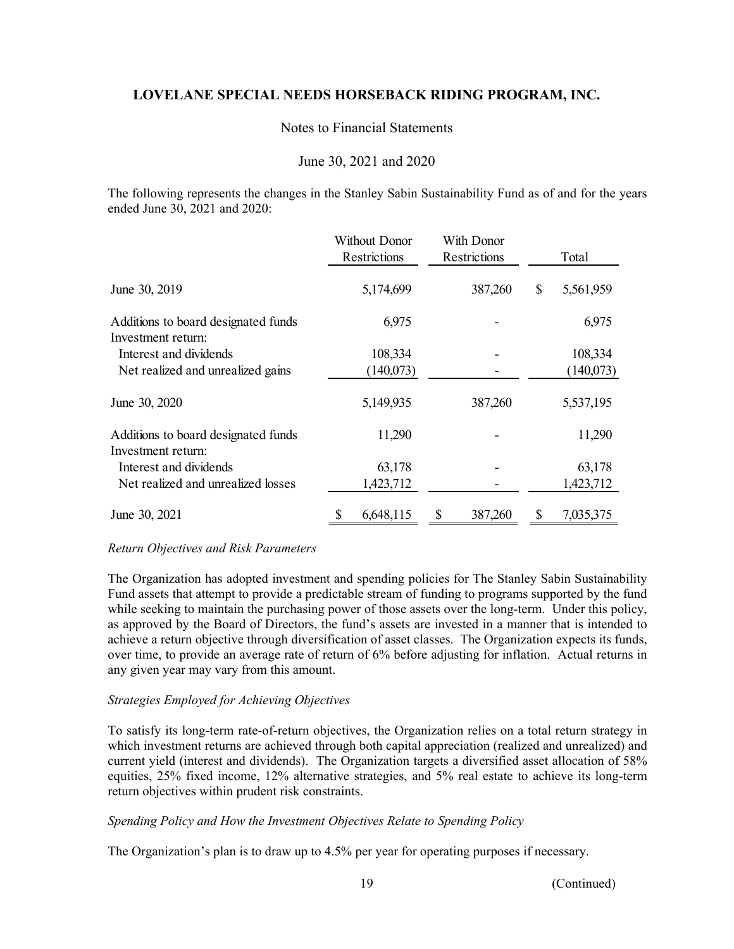## Notes to Financial Statements

## June 30, 2021 and 2020

The following represents the changes in the Stanley Sabin Sustainability Fund as of and for the years ended June 30, 2021 and 2020:

|                                                           | Without Donor<br>Restrictions | With Donor<br>Restrictions | Total           |  |
|-----------------------------------------------------------|-------------------------------|----------------------------|-----------------|--|
| June 30, 2019                                             | 5,174,699                     | 387,260                    | \$<br>5,561,959 |  |
| Additions to board designated funds                       | 6,975                         |                            | 6,975           |  |
| Investment return:                                        |                               |                            |                 |  |
| Interest and dividends                                    | 108,334                       |                            | 108,334         |  |
| Net realized and unrealized gains                         | (140,073)                     |                            | (140,073)       |  |
| June 30, 2020                                             | 5,149,935                     | 387,260                    | 5,537,195       |  |
| Additions to board designated funds<br>Investment return: | 11,290                        |                            | 11,290          |  |
| Interest and dividends                                    | 63,178                        |                            | 63,178          |  |
| Net realized and unrealized losses                        | 1,423,712                     |                            | 1,423,712       |  |
| June 30, 2021                                             | 6,648,115<br>\$               | \$<br>387,260              | \$<br>7,035,375 |  |

### *Return Objectives and Risk Parameters*

The Organization has adopted investment and spending policies for The Stanley Sabin Sustainability Fund assets that attempt to provide a predictable stream of funding to programs supported by the fund while seeking to maintain the purchasing power of those assets over the long-term. Under this policy, as approved by the Board of Directors, the fund's assets are invested in a manner that is intended to achieve a return objective through diversification of asset classes. The Organization expects its funds, over time, to provide an average rate of return of 6% before adjusting for inflation. Actual returns in any given year may vary from this amount.

### *Strategies Employed for Achieving Objectives*

To satisfy its long-term rate-of-return objectives, the Organization relies on a total return strategy in which investment returns are achieved through both capital appreciation (realized and unrealized) and current yield (interest and dividends). The Organization targets a diversified asset allocation of 58% equities, 25% fixed income, 12% alternative strategies, and 5% real estate to achieve its long-term return objectives within prudent risk constraints.

### *Spending Policy and How the Investment Objectives Relate to Spending Policy*

The Organization's plan is to draw up to 4.5% per year for operating purposes if necessary.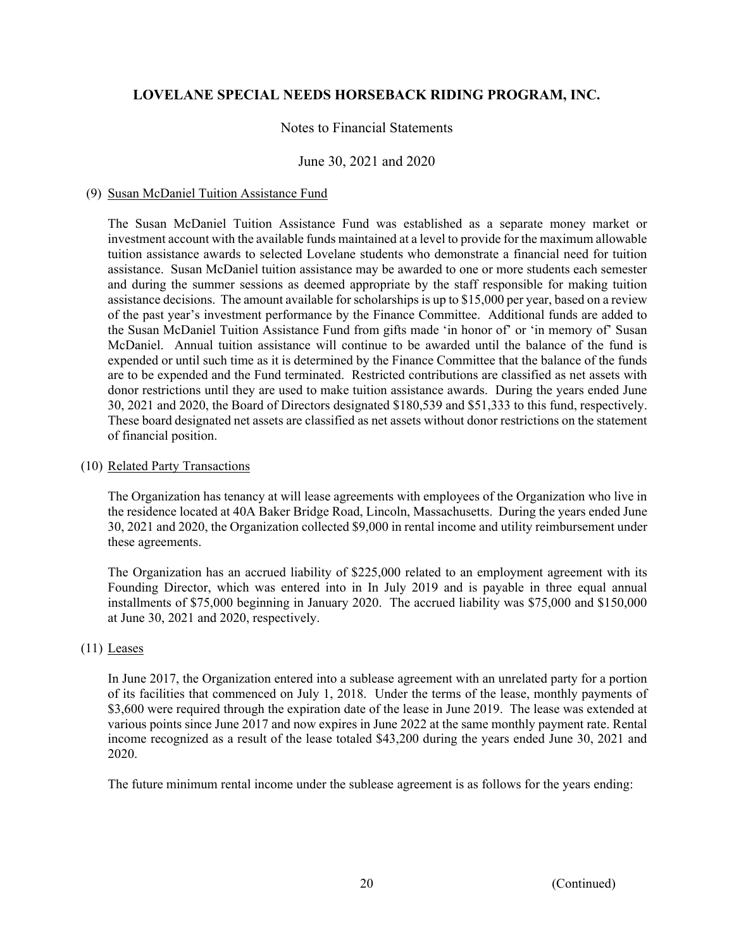## Notes to Financial Statements

## June 30, 2021 and 2020

### (9) Susan McDaniel Tuition Assistance Fund

The Susan McDaniel Tuition Assistance Fund was established as a separate money market or investment account with the available funds maintained at a level to provide for the maximum allowable tuition assistance awards to selected Lovelane students who demonstrate a financial need for tuition assistance. Susan McDaniel tuition assistance may be awarded to one or more students each semester and during the summer sessions as deemed appropriate by the staff responsible for making tuition assistance decisions. The amount available for scholarships is up to \$15,000 per year, based on a review of the past year's investment performance by the Finance Committee. Additional funds are added to the Susan McDaniel Tuition Assistance Fund from gifts made 'in honor of' or 'in memory of' Susan McDaniel. Annual tuition assistance will continue to be awarded until the balance of the fund is expended or until such time as it is determined by the Finance Committee that the balance of the funds are to be expended and the Fund terminated. Restricted contributions are classified as net assets with donor restrictions until they are used to make tuition assistance awards. During the years ended June 30, 2021 and 2020, the Board of Directors designated \$180,539 and \$51,333 to this fund, respectively. These board designated net assets are classified as net assets without donor restrictions on the statement of financial position.

### (10) Related Party Transactions

The Organization has tenancy at will lease agreements with employees of the Organization who live in the residence located at 40A Baker Bridge Road, Lincoln, Massachusetts. During the years ended June 30, 2021 and 2020, the Organization collected \$9,000 in rental income and utility reimbursement under these agreements.

 The Organization has an accrued liability of \$225,000 related to an employment agreement with its Founding Director, which was entered into in In July 2019 and is payable in three equal annual installments of \$75,000 beginning in January 2020. The accrued liability was \$75,000 and \$150,000 at June 30, 2021 and 2020, respectively.

### (11) Leases

In June 2017, the Organization entered into a sublease agreement with an unrelated party for a portion of its facilities that commenced on July 1, 2018. Under the terms of the lease, monthly payments of \$3,600 were required through the expiration date of the lease in June 2019. The lease was extended at various points since June 2017 and now expires in June 2022 at the same monthly payment rate. Rental income recognized as a result of the lease totaled \$43,200 during the years ended June 30, 2021 and 2020.

The future minimum rental income under the sublease agreement is as follows for the years ending: